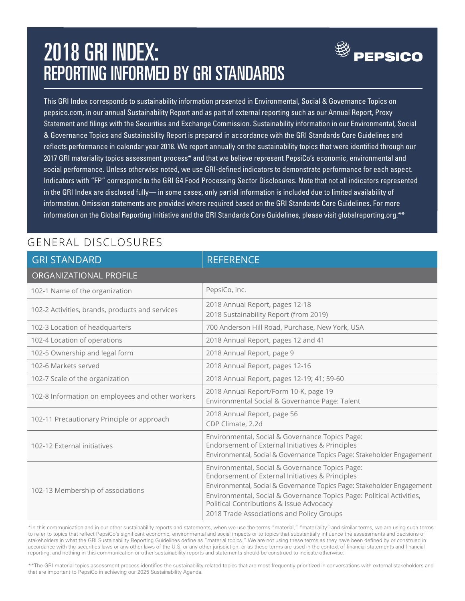## 2018 GRI INDEX: REPORTING INFORMED BY GRI STANDARDS



This GRI Index corresponds to sustainability information presented in Environmental, Social & Governance Topics on pepsico.com, in our annual Sustainability Report and as part of external reporting such as our Annual Report, Proxy Statement and filings with the Securities and Exchange Commission. Sustainability information in our Environmental, Social & Governance Topics and Sustainability Report is prepared in accordance with the GRI Standards Core Guidelines and reflects performance in calendar year 2018. We report annually on the sustainability topics that were identified through our 2017 GRI materiality topics assessment process\* and that we believe represent PepsiCo's economic, environmental and social performance. Unless otherwise noted, we use GRI-defined indicators to demonstrate performance for each aspect. Indicators with "FP" correspond to the GRI G4 Food Processing Sector Disclosures. Note that not all indicators represented in the GRI Index are disclosed fully— in some cases, only partial information is included due to limited availability of information. Omission statements are provided where required based on the GRI Standards Core Guidelines. For more information on the Global Reporting Initiative and the GRI Standards Core Guidelines, please visit globalreporting.org.\*\*

## GENERAL DISCLOSURES

| <b>GRI STANDARD</b>                              | <b>REFERENCE</b>                                                                                                                                                                                                                                                                                                                                |
|--------------------------------------------------|-------------------------------------------------------------------------------------------------------------------------------------------------------------------------------------------------------------------------------------------------------------------------------------------------------------------------------------------------|
| ORGANIZATIONAL PROFILE                           |                                                                                                                                                                                                                                                                                                                                                 |
| 102-1 Name of the organization                   | PepsiCo, Inc.                                                                                                                                                                                                                                                                                                                                   |
| 102-2 Activities, brands, products and services  | 2018 Annual Report, pages 12-18<br>2018 Sustainability Report (from 2019)                                                                                                                                                                                                                                                                       |
| 102-3 Location of headquarters                   | 700 Anderson Hill Road, Purchase, New York, USA                                                                                                                                                                                                                                                                                                 |
| 102-4 Location of operations                     | 2018 Annual Report, pages 12 and 41                                                                                                                                                                                                                                                                                                             |
| 102-5 Ownership and legal form                   | 2018 Annual Report, page 9                                                                                                                                                                                                                                                                                                                      |
| 102-6 Markets served                             | 2018 Annual Report, pages 12-16                                                                                                                                                                                                                                                                                                                 |
| 102-7 Scale of the organization                  | 2018 Annual Report, pages 12-19; 41; 59-60                                                                                                                                                                                                                                                                                                      |
| 102-8 Information on employees and other workers | 2018 Annual Report/Form 10-K, page 19<br>Environmental Social & Governance Page: Talent                                                                                                                                                                                                                                                         |
| 102-11 Precautionary Principle or approach       | 2018 Annual Report, page 56<br>CDP Climate, 2.2d                                                                                                                                                                                                                                                                                                |
| 102-12 External initiatives                      | Environmental, Social & Governance Topics Page:<br>Endorsement of External Initiatives & Principles<br>Environmental, Social & Governance Topics Page: Stakeholder Engagement                                                                                                                                                                   |
| 102-13 Membership of associations                | Environmental, Social & Governance Topics Page:<br>Endorsement of External Initiatives & Principles<br>Environmental, Social & Governance Topics Page: Stakeholder Engagement<br>Environmental, Social & Governance Topics Page: Political Activities,<br>Political Contributions & Issue Advocacy<br>2018 Trade Associations and Policy Groups |

\*In this communication and in our other sustainability reports and statements, when we use the terms "material," "materiality" and similar terms, we are using such terms to refer to topics that reflect PepsiCo's significant economic, environmental and social impacts or to topics that substantially influence the assessments and decisions of stakeholders in what the GRI Sustainability Reporting Guidelines define as "material topics." We are not using these terms as they have been defined by or construed in accordance with the securities laws or any other laws of the U.S. or any other jurisdiction, or as these terms are used in the context of financial statements and financial reporting, and nothing in this communication or other sustainability reports and statements should be construed to indicate otherwise.

\*\*The GRI material topics assessment process identifies the sustainability-related topics that are most frequently prioritized in conversations with external stakeholders and that are important to PepsiCo in achieving our 2025 Sustainability Agenda.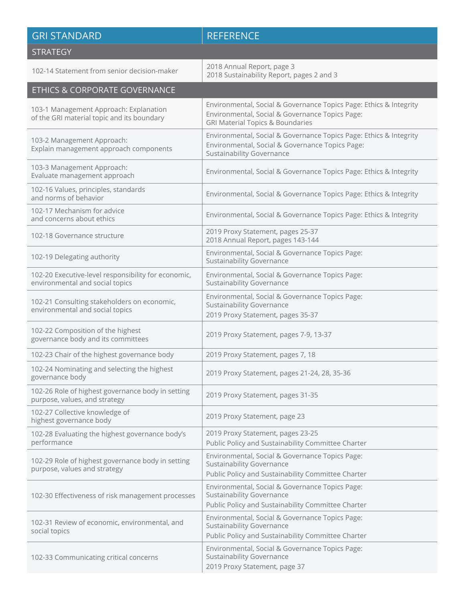| <b>GRI STANDARD</b>                                                                    | <b>REFERENCE</b>                                                                                                                                                     |
|----------------------------------------------------------------------------------------|----------------------------------------------------------------------------------------------------------------------------------------------------------------------|
| <b>STRATEGY</b>                                                                        |                                                                                                                                                                      |
| 102-14 Statement from senior decision-maker                                            | 2018 Annual Report, page 3<br>2018 Sustainability Report, pages 2 and 3                                                                                              |
| ETHICS & CORPORATE GOVERNANCE                                                          |                                                                                                                                                                      |
| 103-1 Management Approach: Explanation<br>of the GRI material topic and its boundary   | Environmental, Social & Governance Topics Page: Ethics & Integrity<br>Environmental, Social & Governance Topics Page:<br><b>GRI Material Topics &amp; Boundaries</b> |
| 103-2 Management Approach:<br>Explain management approach components                   | Environmental, Social & Governance Topics Page: Ethics & Integrity<br>Environmental, Social & Governance Topics Page:<br><b>Sustainability Governance</b>            |
| 103-3 Management Approach:<br>Evaluate management approach                             | Environmental, Social & Governance Topics Page: Ethics & Integrity                                                                                                   |
| 102-16 Values, principles, standards<br>and norms of behavior                          | Environmental, Social & Governance Topics Page: Ethics & Integrity                                                                                                   |
| 102-17 Mechanism for advice<br>and concerns about ethics                               | Environmental, Social & Governance Topics Page: Ethics & Integrity                                                                                                   |
| 102-18 Governance structure                                                            | 2019 Proxy Statement, pages 25-37<br>2018 Annual Report, pages 143-144                                                                                               |
| 102-19 Delegating authority                                                            | Environmental, Social & Governance Topics Page:<br><b>Sustainability Governance</b>                                                                                  |
| 102-20 Executive-level responsibility for economic,<br>environmental and social topics | Environmental, Social & Governance Topics Page:<br><b>Sustainability Governance</b>                                                                                  |
| 102-21 Consulting stakeholders on economic,<br>environmental and social topics         | Environmental, Social & Governance Topics Page:<br><b>Sustainability Governance</b><br>2019 Proxy Statement, pages 35-37                                             |
| 102-22 Composition of the highest<br>governance body and its committees                | 2019 Proxy Statement, pages 7-9, 13-37                                                                                                                               |
| 102-23 Chair of the highest governance body                                            | 2019 Proxy Statement, pages 7, 18                                                                                                                                    |
| 102-24 Nominating and selecting the highest<br>governance body                         | 2019 Proxy Statement, pages 21-24, 28, 35-36                                                                                                                         |
| 102-26 Role of highest governance body in setting<br>purpose, values, and strategy     | 2019 Proxy Statement, pages 31-35                                                                                                                                    |
| 102-27 Collective knowledge of<br>highest governance body                              | 2019 Proxy Statement, page 23                                                                                                                                        |
| 102-28 Evaluating the highest governance body's<br>performance                         | 2019 Proxy Statement, pages 23-25<br>Public Policy and Sustainability Committee Charter                                                                              |
| 102-29 Role of highest governance body in setting<br>purpose, values and strategy      | Environmental, Social & Governance Topics Page:<br>Sustainability Governance<br>Public Policy and Sustainability Committee Charter                                   |
| 102-30 Effectiveness of risk management processes                                      | Environmental, Social & Governance Topics Page:<br><b>Sustainability Governance</b><br>Public Policy and Sustainability Committee Charter                            |
| 102-31 Review of economic, environmental, and<br>social topics                         | Environmental, Social & Governance Topics Page:<br><b>Sustainability Governance</b><br>Public Policy and Sustainability Committee Charter                            |
| 102-33 Communicating critical concerns                                                 | Environmental, Social & Governance Topics Page:<br><b>Sustainability Governance</b><br>2019 Proxy Statement, page 37                                                 |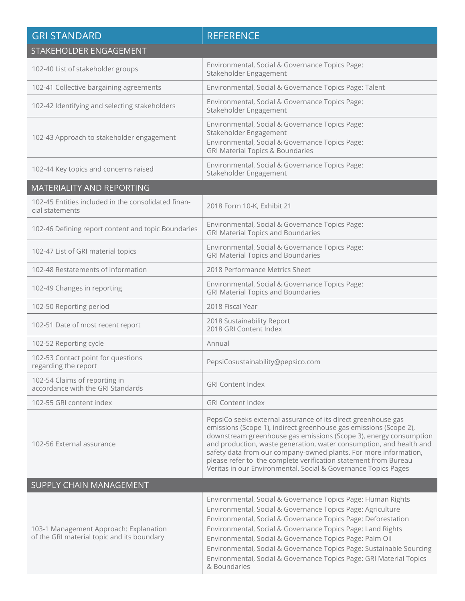| <b>GRI STANDARD</b>                                                                  | <b>REFERENCE</b>                                                                                                                                                                                                                                                                                                                                                                                                                                                                        |
|--------------------------------------------------------------------------------------|-----------------------------------------------------------------------------------------------------------------------------------------------------------------------------------------------------------------------------------------------------------------------------------------------------------------------------------------------------------------------------------------------------------------------------------------------------------------------------------------|
| STAKEHOLDER ENGAGEMENT                                                               |                                                                                                                                                                                                                                                                                                                                                                                                                                                                                         |
| 102-40 List of stakeholder groups                                                    | Environmental, Social & Governance Topics Page:<br>Stakeholder Engagement                                                                                                                                                                                                                                                                                                                                                                                                               |
| 102-41 Collective bargaining agreements                                              | Environmental, Social & Governance Topics Page: Talent                                                                                                                                                                                                                                                                                                                                                                                                                                  |
| 102-42 Identifying and selecting stakeholders                                        | Environmental, Social & Governance Topics Page:<br>Stakeholder Engagement                                                                                                                                                                                                                                                                                                                                                                                                               |
| 102-43 Approach to stakeholder engagement                                            | Environmental, Social & Governance Topics Page:<br>Stakeholder Engagement<br>Environmental, Social & Governance Topics Page:<br><b>GRI Material Topics &amp; Boundaries</b>                                                                                                                                                                                                                                                                                                             |
| 102-44 Key topics and concerns raised                                                | Environmental, Social & Governance Topics Page:<br>Stakeholder Engagement                                                                                                                                                                                                                                                                                                                                                                                                               |
| <b>MATERIALITY AND REPORTING</b>                                                     |                                                                                                                                                                                                                                                                                                                                                                                                                                                                                         |
| 102-45 Entities included in the consolidated finan-<br>cial statements               | 2018 Form 10-K, Exhibit 21                                                                                                                                                                                                                                                                                                                                                                                                                                                              |
| 102-46 Defining report content and topic Boundaries                                  | Environmental, Social & Governance Topics Page:<br><b>GRI Material Topics and Boundaries</b>                                                                                                                                                                                                                                                                                                                                                                                            |
| 102-47 List of GRI material topics                                                   | Environmental, Social & Governance Topics Page:<br><b>GRI Material Topics and Boundaries</b>                                                                                                                                                                                                                                                                                                                                                                                            |
| 102-48 Restatements of information                                                   | 2018 Performance Metrics Sheet                                                                                                                                                                                                                                                                                                                                                                                                                                                          |
| 102-49 Changes in reporting                                                          | Environmental, Social & Governance Topics Page:<br><b>GRI Material Topics and Boundaries</b>                                                                                                                                                                                                                                                                                                                                                                                            |
| 102-50 Reporting period                                                              | 2018 Fiscal Year                                                                                                                                                                                                                                                                                                                                                                                                                                                                        |
| 102-51 Date of most recent report                                                    | 2018 Sustainability Report<br>2018 GRI Content Index                                                                                                                                                                                                                                                                                                                                                                                                                                    |
| 102-52 Reporting cycle                                                               | Annual                                                                                                                                                                                                                                                                                                                                                                                                                                                                                  |
| 102-53 Contact point for questions<br>regarding the report                           | PepsiCosustainability@pepsico.com                                                                                                                                                                                                                                                                                                                                                                                                                                                       |
| 102-54 Claims of reporting in<br>accordance with the GRI Standards                   | <b>GRI Content Index</b>                                                                                                                                                                                                                                                                                                                                                                                                                                                                |
| 102-55 GRI content index                                                             | <b>GRI Content Index</b>                                                                                                                                                                                                                                                                                                                                                                                                                                                                |
| 102-56 External assurance                                                            | PepsiCo seeks external assurance of its direct greenhouse gas<br>emissions (Scope 1), indirect greenhouse gas emissions (Scope 2),<br>downstream greenhouse gas emissions (Scope 3), energy consumption<br>and production, waste generation, water consumption, and health and<br>safety data from our company-owned plants. For more information,<br>please refer to the complete verification statement from Bureau<br>Veritas in our Environmental, Social & Governance Topics Pages |
| SUPPLY CHAIN MANAGEMENT                                                              |                                                                                                                                                                                                                                                                                                                                                                                                                                                                                         |
| 103-1 Management Approach: Explanation<br>of the GRI material topic and its boundary | Environmental, Social & Governance Topics Page: Human Rights<br>Environmental, Social & Governance Topics Page: Agriculture<br>Environmental, Social & Governance Topics Page: Deforestation<br>Environmental, Social & Governance Topics Page: Land Rights<br>Environmental, Social & Governance Topics Page: Palm Oil<br>Environmental, Social & Governance Topics Page: Sustainable Sourcing<br>Environmental, Social & Governance Topics Page: GRI Material Topics<br>& Boundaries  |
|                                                                                      |                                                                                                                                                                                                                                                                                                                                                                                                                                                                                         |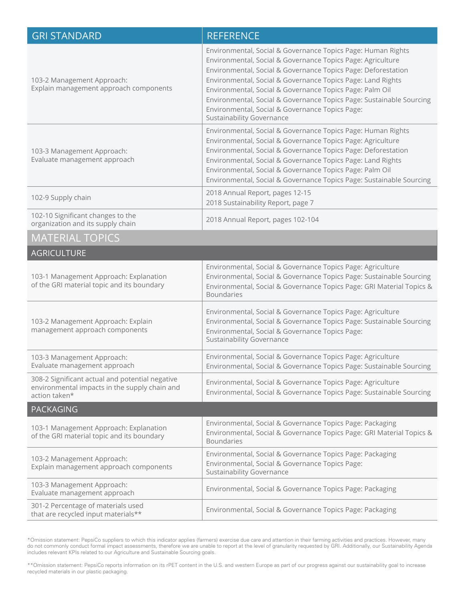| <b>GRI STANDARD</b>                                                                                               | <b>REFERENCE</b>                                                                                                                                                                                                                                                                                                                                                                                                                                                                       |
|-------------------------------------------------------------------------------------------------------------------|----------------------------------------------------------------------------------------------------------------------------------------------------------------------------------------------------------------------------------------------------------------------------------------------------------------------------------------------------------------------------------------------------------------------------------------------------------------------------------------|
| 103-2 Management Approach:<br>Explain management approach components                                              | Environmental, Social & Governance Topics Page: Human Rights<br>Environmental, Social & Governance Topics Page: Agriculture<br>Environmental, Social & Governance Topics Page: Deforestation<br>Environmental, Social & Governance Topics Page: Land Rights<br>Environmental, Social & Governance Topics Page: Palm Oil<br>Environmental, Social & Governance Topics Page: Sustainable Sourcing<br>Environmental, Social & Governance Topics Page:<br><b>Sustainability Governance</b> |
| 103-3 Management Approach:<br>Evaluate management approach                                                        | Environmental, Social & Governance Topics Page: Human Rights<br>Environmental, Social & Governance Topics Page: Agriculture<br>Environmental, Social & Governance Topics Page: Deforestation<br>Environmental, Social & Governance Topics Page: Land Rights<br>Environmental, Social & Governance Topics Page: Palm Oil<br>Environmental, Social & Governance Topics Page: Sustainable Sourcing                                                                                        |
| 102-9 Supply chain                                                                                                | 2018 Annual Report, pages 12-15<br>2018 Sustainability Report, page 7                                                                                                                                                                                                                                                                                                                                                                                                                  |
| 102-10 Significant changes to the<br>organization and its supply chain                                            | 2018 Annual Report, pages 102-104                                                                                                                                                                                                                                                                                                                                                                                                                                                      |
| <b>MATERIAL TOPICS</b>                                                                                            |                                                                                                                                                                                                                                                                                                                                                                                                                                                                                        |
| <b>AGRICULTURE</b>                                                                                                |                                                                                                                                                                                                                                                                                                                                                                                                                                                                                        |
| 103-1 Management Approach: Explanation<br>of the GRI material topic and its boundary                              | Environmental, Social & Governance Topics Page: Agriculture<br>Environmental, Social & Governance Topics Page: Sustainable Sourcing<br>Environmental, Social & Governance Topics Page: GRI Material Topics &<br><b>Boundaries</b>                                                                                                                                                                                                                                                      |
| 103-2 Management Approach: Explain<br>management approach components                                              | Environmental, Social & Governance Topics Page: Agriculture<br>Environmental, Social & Governance Topics Page: Sustainable Sourcing<br>Environmental, Social & Governance Topics Page:<br><b>Sustainability Governance</b>                                                                                                                                                                                                                                                             |
| 103-3 Management Approach:<br>Evaluate management approach                                                        | Environmental, Social & Governance Topics Page: Agriculture<br>Environmental, Social & Governance Topics Page: Sustainable Sourcing                                                                                                                                                                                                                                                                                                                                                    |
| 308-2 Significant actual and potential negative<br>environmental impacts in the supply chain and<br>action taken* | Environmental, Social & Governance Topics Page: Agriculture<br>Environmental, Social & Governance Topics Page: Sustainable Sourcing                                                                                                                                                                                                                                                                                                                                                    |
| <b>PACKAGING</b>                                                                                                  |                                                                                                                                                                                                                                                                                                                                                                                                                                                                                        |
| 103-1 Management Approach: Explanation<br>of the GRI material topic and its boundary                              | Environmental, Social & Governance Topics Page: Packaging<br>Environmental, Social & Governance Topics Page: GRI Material Topics &<br><b>Boundaries</b>                                                                                                                                                                                                                                                                                                                                |
| 103-2 Management Approach:<br>Explain management approach components                                              | Environmental, Social & Governance Topics Page: Packaging<br>Environmental, Social & Governance Topics Page:<br><b>Sustainability Governance</b>                                                                                                                                                                                                                                                                                                                                       |
| 103-3 Management Approach:<br>Evaluate management approach                                                        | Environmental, Social & Governance Topics Page: Packaging                                                                                                                                                                                                                                                                                                                                                                                                                              |
| 301-2 Percentage of materials used<br>that are recycled input materials**                                         | Environmental, Social & Governance Topics Page: Packaging                                                                                                                                                                                                                                                                                                                                                                                                                              |

\*Omission statement: PepsiCo suppliers to which this indicator applies (farmers) exercise due care and attention in their farming activities and practices. However, many do not commonly conduct formal impact assessments, therefore we are unable to report at the level of granularity requested by GRI. Additionally, our Sustainability Agenda includes relevant KPIs related to our Agriculture and Sustainable Sourcing goals.

\*\*Omission statement: PepsiCo reports information on its rPET content in the U.S. and western Europe as part of our progress against our sustainability goal to increase recycled materials in our plastic packaging.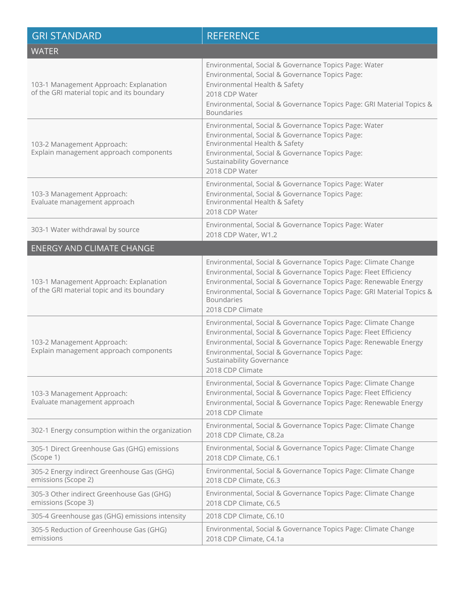| <b>GRI STANDARD</b>                                                                  | <b>REFERENCE</b>                                                                                                                                                                                                                                                                                                         |
|--------------------------------------------------------------------------------------|--------------------------------------------------------------------------------------------------------------------------------------------------------------------------------------------------------------------------------------------------------------------------------------------------------------------------|
| <b>WATER</b>                                                                         |                                                                                                                                                                                                                                                                                                                          |
| 103-1 Management Approach: Explanation<br>of the GRI material topic and its boundary | Environmental, Social & Governance Topics Page: Water<br>Environmental, Social & Governance Topics Page:<br>Environmental Health & Safety<br>2018 CDP Water<br>Environmental, Social & Governance Topics Page: GRI Material Topics &<br><b>Boundaries</b>                                                                |
| 103-2 Management Approach:<br>Explain management approach components                 | Environmental, Social & Governance Topics Page: Water<br>Environmental, Social & Governance Topics Page:<br>Environmental Health & Safety<br>Environmental, Social & Governance Topics Page:<br><b>Sustainability Governance</b><br>2018 CDP Water                                                                       |
| 103-3 Management Approach:<br>Evaluate management approach                           | Environmental, Social & Governance Topics Page: Water<br>Environmental, Social & Governance Topics Page:<br>Environmental Health & Safety<br>2018 CDP Water                                                                                                                                                              |
| 303-1 Water withdrawal by source                                                     | Environmental, Social & Governance Topics Page: Water<br>2018 CDP Water, W1.2                                                                                                                                                                                                                                            |
| <b>ENERGY AND CLIMATE CHANGE</b>                                                     |                                                                                                                                                                                                                                                                                                                          |
| 103-1 Management Approach: Explanation<br>of the GRI material topic and its boundary | Environmental, Social & Governance Topics Page: Climate Change<br>Environmental, Social & Governance Topics Page: Fleet Efficiency<br>Environmental, Social & Governance Topics Page: Renewable Energy<br>Environmental, Social & Governance Topics Page: GRI Material Topics &<br><b>Boundaries</b><br>2018 CDP Climate |
| 103-2 Management Approach:<br>Explain management approach components                 | Environmental, Social & Governance Topics Page: Climate Change<br>Environmental, Social & Governance Topics Page: Fleet Efficiency<br>Environmental, Social & Governance Topics Page: Renewable Energy<br>Environmental, Social & Governance Topics Page:<br><b>Sustainability Governance</b><br>2018 CDP Climate        |
| 103-3 Management Approach:<br>Evaluate management approach                           | Environmental, Social & Governance Topics Page: Climate Change<br>Environmental, Social & Governance Topics Page: Fleet Efficiency<br>Environmental, Social & Governance Topics Page: Renewable Energy<br>2018 CDP Climate                                                                                               |
| 302-1 Energy consumption within the organization                                     | Environmental, Social & Governance Topics Page: Climate Change<br>2018 CDP Climate, C8.2a                                                                                                                                                                                                                                |
| 305-1 Direct Greenhouse Gas (GHG) emissions<br>(Scope 1)                             | Environmental, Social & Governance Topics Page: Climate Change<br>2018 CDP Climate, C6.1                                                                                                                                                                                                                                 |
| 305-2 Energy indirect Greenhouse Gas (GHG)<br>emissions (Scope 2)                    | Environmental, Social & Governance Topics Page: Climate Change<br>2018 CDP Climate, C6.3                                                                                                                                                                                                                                 |
| 305-3 Other indirect Greenhouse Gas (GHG)<br>emissions (Scope 3)                     | Environmental, Social & Governance Topics Page: Climate Change<br>2018 CDP Climate, C6.5                                                                                                                                                                                                                                 |
| 305-4 Greenhouse gas (GHG) emissions intensity                                       | 2018 CDP Climate, C6.10                                                                                                                                                                                                                                                                                                  |
| 305-5 Reduction of Greenhouse Gas (GHG)<br>emissions                                 | Environmental, Social & Governance Topics Page: Climate Change<br>2018 CDP Climate, C4.1a                                                                                                                                                                                                                                |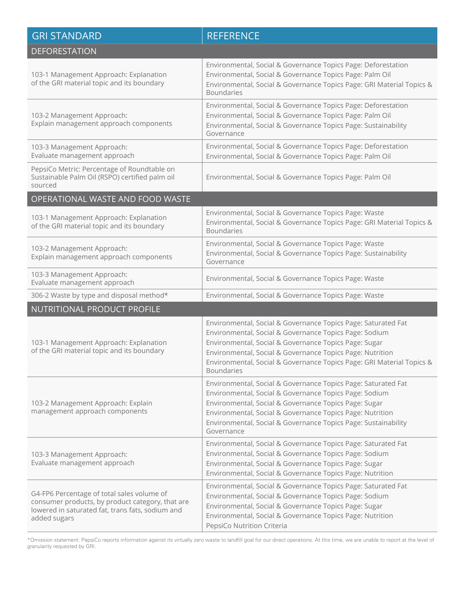| <b>GRI STANDARD</b>                                                                                                                                                | <b>REFERENCE</b>                                                                                                                                                                                                                                                                                                                            |
|--------------------------------------------------------------------------------------------------------------------------------------------------------------------|---------------------------------------------------------------------------------------------------------------------------------------------------------------------------------------------------------------------------------------------------------------------------------------------------------------------------------------------|
| <b>DEFORESTATION</b>                                                                                                                                               |                                                                                                                                                                                                                                                                                                                                             |
| 103-1 Management Approach: Explanation<br>of the GRI material topic and its boundary                                                                               | Environmental, Social & Governance Topics Page: Deforestation<br>Environmental, Social & Governance Topics Page: Palm Oil<br>Environmental, Social & Governance Topics Page: GRI Material Topics &<br><b>Boundaries</b>                                                                                                                     |
| 103-2 Management Approach:<br>Explain management approach components                                                                                               | Environmental, Social & Governance Topics Page: Deforestation<br>Environmental, Social & Governance Topics Page: Palm Oil<br>Environmental, Social & Governance Topics Page: Sustainability<br>Governance                                                                                                                                   |
| 103-3 Management Approach:<br>Evaluate management approach                                                                                                         | Environmental, Social & Governance Topics Page: Deforestation<br>Environmental, Social & Governance Topics Page: Palm Oil                                                                                                                                                                                                                   |
| PepsiCo Metric: Percentage of Roundtable on<br>Sustainable Palm Oil (RSPO) certified palm oil<br>sourced                                                           | Environmental, Social & Governance Topics Page: Palm Oil                                                                                                                                                                                                                                                                                    |
| OPERATIONAL WASTE AND FOOD WASTE                                                                                                                                   |                                                                                                                                                                                                                                                                                                                                             |
| 103-1 Management Approach: Explanation<br>of the GRI material topic and its boundary                                                                               | Environmental, Social & Governance Topics Page: Waste<br>Environmental, Social & Governance Topics Page: GRI Material Topics &<br><b>Boundaries</b>                                                                                                                                                                                         |
| 103-2 Management Approach:<br>Explain management approach components                                                                                               | Environmental, Social & Governance Topics Page: Waste<br>Environmental, Social & Governance Topics Page: Sustainability<br>Governance                                                                                                                                                                                                       |
| 103-3 Management Approach:<br>Evaluate management approach                                                                                                         | Environmental, Social & Governance Topics Page: Waste                                                                                                                                                                                                                                                                                       |
| 306-2 Waste by type and disposal method*                                                                                                                           | Environmental, Social & Governance Topics Page: Waste                                                                                                                                                                                                                                                                                       |
| NUTRITIONAL PRODUCT PROFILE                                                                                                                                        |                                                                                                                                                                                                                                                                                                                                             |
| 103-1 Management Approach: Explanation<br>of the GRI material topic and its boundary                                                                               | Environmental, Social & Governance Topics Page: Saturated Fat<br>Environmental, Social & Governance Topics Page: Sodium<br>Environmental, Social & Governance Topics Page: Sugar<br>Environmental, Social & Governance Topics Page: Nutrition<br>Environmental, Social & Governance Topics Page: GRI Material Topics &<br><b>Boundaries</b> |
| 103-2 Management Approach: Explain<br>management approach components                                                                                               | Environmental, Social & Governance Topics Page: Saturated Fat<br>Environmental, Social & Governance Topics Page: Sodium<br>Environmental, Social & Governance Topics Page: Sugar<br>Environmental, Social & Governance Topics Page: Nutrition<br>Environmental, Social & Governance Topics Page: Sustainability<br>Governance               |
| 103-3 Management Approach:<br>Evaluate management approach                                                                                                         | Environmental, Social & Governance Topics Page: Saturated Fat<br>Environmental, Social & Governance Topics Page: Sodium<br>Environmental, Social & Governance Topics Page: Sugar<br>Environmental, Social & Governance Topics Page: Nutrition                                                                                               |
| G4-FP6 Percentage of total sales volume of<br>consumer products, by product category, that are<br>lowered in saturated fat, trans fats, sodium and<br>added sugars | Environmental, Social & Governance Topics Page: Saturated Fat<br>Environmental, Social & Governance Topics Page: Sodium<br>Environmental, Social & Governance Topics Page: Sugar<br>Environmental, Social & Governance Topics Page: Nutrition<br>PepsiCo Nutrition Criteria                                                                 |

\*Omission statement: PepsiCo reports information against its virtually zero waste to landfill goal for our direct operations. At this time, we are unable to report at the level of granularity requested by GRI.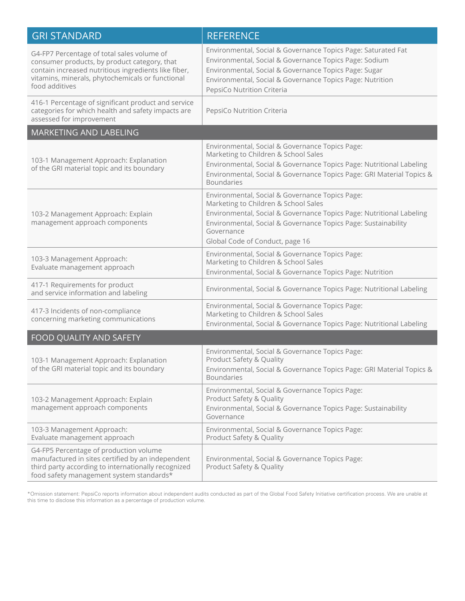| <b>GRI STANDARD</b>                                                                                                                                                                                                      | <b>REFERENCE</b>                                                                                                                                                                                                                                                                   |
|--------------------------------------------------------------------------------------------------------------------------------------------------------------------------------------------------------------------------|------------------------------------------------------------------------------------------------------------------------------------------------------------------------------------------------------------------------------------------------------------------------------------|
| G4-FP7 Percentage of total sales volume of<br>consumer products, by product category, that<br>contain increased nutritious ingredients like fiber,<br>vitamins, minerals, phytochemicals or functional<br>food additives | Environmental, Social & Governance Topics Page: Saturated Fat<br>Environmental, Social & Governance Topics Page: Sodium<br>Environmental, Social & Governance Topics Page: Sugar<br>Environmental, Social & Governance Topics Page: Nutrition<br>PepsiCo Nutrition Criteria        |
| 416-1 Percentage of significant product and service<br>categories for which health and safety impacts are<br>assessed for improvement                                                                                    | PepsiCo Nutrition Criteria                                                                                                                                                                                                                                                         |
| MARKETING AND LABELING                                                                                                                                                                                                   |                                                                                                                                                                                                                                                                                    |
| 103-1 Management Approach: Explanation<br>of the GRI material topic and its boundary                                                                                                                                     | Environmental, Social & Governance Topics Page:<br>Marketing to Children & School Sales<br>Environmental, Social & Governance Topics Page: Nutritional Labeling<br>Environmental, Social & Governance Topics Page: GRI Material Topics &<br><b>Boundaries</b>                      |
| 103-2 Management Approach: Explain<br>management approach components                                                                                                                                                     | Environmental, Social & Governance Topics Page:<br>Marketing to Children & School Sales<br>Environmental, Social & Governance Topics Page: Nutritional Labeling<br>Environmental, Social & Governance Topics Page: Sustainability<br>Governance<br>Global Code of Conduct, page 16 |
| 103-3 Management Approach:<br>Evaluate management approach                                                                                                                                                               | Environmental, Social & Governance Topics Page:<br>Marketing to Children & School Sales<br>Environmental, Social & Governance Topics Page: Nutrition                                                                                                                               |
| 417-1 Requirements for product<br>and service information and labeling                                                                                                                                                   | Environmental, Social & Governance Topics Page: Nutritional Labeling                                                                                                                                                                                                               |
| 417-3 Incidents of non-compliance<br>concerning marketing communications                                                                                                                                                 | Environmental, Social & Governance Topics Page:<br>Marketing to Children & School Sales<br>Environmental, Social & Governance Topics Page: Nutritional Labeling                                                                                                                    |
| FOOD QUALITY AND SAFETY                                                                                                                                                                                                  |                                                                                                                                                                                                                                                                                    |
| 103-1 Management Approach: Explanation<br>of the GRI material topic and its boundary                                                                                                                                     | Environmental, Social & Governance Topics Page:<br>Product Safety & Quality<br>Environmental, Social & Governance Topics Page: GRI Material Topics &<br><b>Boundaries</b>                                                                                                          |
| 103-2 Management Approach: Explain<br>management approach components                                                                                                                                                     | Environmental, Social & Governance Topics Page:<br>Product Safety & Quality<br>Environmental, Social & Governance Topics Page: Sustainability<br>Governance                                                                                                                        |
| 103-3 Management Approach:<br>Evaluate management approach                                                                                                                                                               | Environmental, Social & Governance Topics Page:<br>Product Safety & Quality                                                                                                                                                                                                        |
| G4-FP5 Percentage of production volume<br>manufactured in sites certified by an independent<br>third party according to internationally recognized<br>food safety management system standards*                           | Environmental, Social & Governance Topics Page:<br>Product Safety & Quality                                                                                                                                                                                                        |

\*Omission statement: PepsiCo reports information about independent audits conducted as part of the Global Food Safety Initiative certification process. We are unable at this time to disclose this information as a percentage of production volume.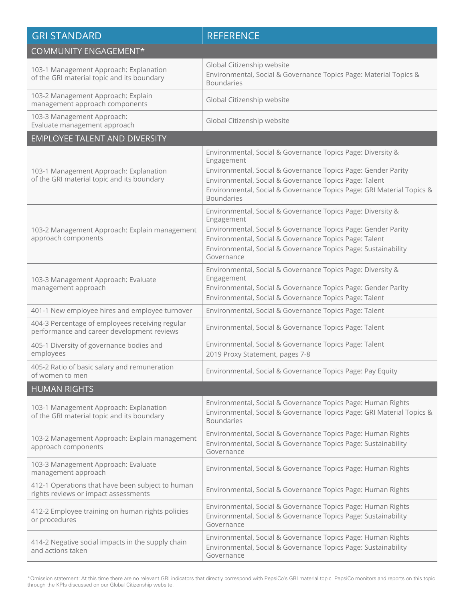| <b>GRI STANDARD</b>                                                                           | <b>REFERENCE</b>                                                                                                                                                                                                                                                                                   |
|-----------------------------------------------------------------------------------------------|----------------------------------------------------------------------------------------------------------------------------------------------------------------------------------------------------------------------------------------------------------------------------------------------------|
| <b>COMMUNITY ENGAGEMENT*</b>                                                                  |                                                                                                                                                                                                                                                                                                    |
| 103-1 Management Approach: Explanation<br>of the GRI material topic and its boundary          | Global Citizenship website<br>Environmental, Social & Governance Topics Page: Material Topics &<br><b>Boundaries</b>                                                                                                                                                                               |
| 103-2 Management Approach: Explain<br>management approach components                          | Global Citizenship website                                                                                                                                                                                                                                                                         |
| 103-3 Management Approach:<br>Evaluate management approach                                    | Global Citizenship website                                                                                                                                                                                                                                                                         |
| <b>EMPLOYEE TALENT AND DIVERSITY</b>                                                          |                                                                                                                                                                                                                                                                                                    |
| 103-1 Management Approach: Explanation<br>of the GRI material topic and its boundary          | Environmental, Social & Governance Topics Page: Diversity &<br>Engagement<br>Environmental, Social & Governance Topics Page: Gender Parity<br>Environmental, Social & Governance Topics Page: Talent<br>Environmental, Social & Governance Topics Page: GRI Material Topics &<br><b>Boundaries</b> |
| 103-2 Management Approach: Explain management<br>approach components                          | Environmental, Social & Governance Topics Page: Diversity &<br>Engagement<br>Environmental, Social & Governance Topics Page: Gender Parity<br>Environmental, Social & Governance Topics Page: Talent<br>Environmental, Social & Governance Topics Page: Sustainability<br>Governance               |
| 103-3 Management Approach: Evaluate<br>management approach                                    | Environmental, Social & Governance Topics Page: Diversity &<br>Engagement<br>Environmental, Social & Governance Topics Page: Gender Parity<br>Environmental, Social & Governance Topics Page: Talent                                                                                               |
| 401-1 New employee hires and employee turnover                                                | Environmental, Social & Governance Topics Page: Talent                                                                                                                                                                                                                                             |
| 404-3 Percentage of employees receiving regular<br>performance and career development reviews | Environmental, Social & Governance Topics Page: Talent                                                                                                                                                                                                                                             |
| 405-1 Diversity of governance bodies and<br>employees                                         | Environmental, Social & Governance Topics Page: Talent<br>2019 Proxy Statement, pages 7-8                                                                                                                                                                                                          |
| 405-2 Ratio of basic salary and remuneration<br>of women to men                               | Environmental, Social & Governance Topics Page: Pay Equity                                                                                                                                                                                                                                         |
| <b>HUMAN RIGHTS</b>                                                                           |                                                                                                                                                                                                                                                                                                    |
| 103-1 Management Approach: Explanation<br>of the GRI material topic and its boundary          | Environmental, Social & Governance Topics Page: Human Rights<br>Environmental, Social & Governance Topics Page: GRI Material Topics &<br><b>Boundaries</b>                                                                                                                                         |
| 103-2 Management Approach: Explain management<br>approach components                          | Environmental, Social & Governance Topics Page: Human Rights<br>Environmental, Social & Governance Topics Page: Sustainability<br>Governance                                                                                                                                                       |
| 103-3 Management Approach: Evaluate<br>management approach                                    | Environmental, Social & Governance Topics Page: Human Rights                                                                                                                                                                                                                                       |
| 412-1 Operations that have been subject to human<br>rights reviews or impact assessments      | Environmental, Social & Governance Topics Page: Human Rights                                                                                                                                                                                                                                       |
| 412-2 Employee training on human rights policies<br>or procedures                             | Environmental, Social & Governance Topics Page: Human Rights<br>Environmental, Social & Governance Topics Page: Sustainability<br>Governance                                                                                                                                                       |
| 414-2 Negative social impacts in the supply chain<br>and actions taken                        | Environmental, Social & Governance Topics Page: Human Rights<br>Environmental, Social & Governance Topics Page: Sustainability<br>Governance                                                                                                                                                       |